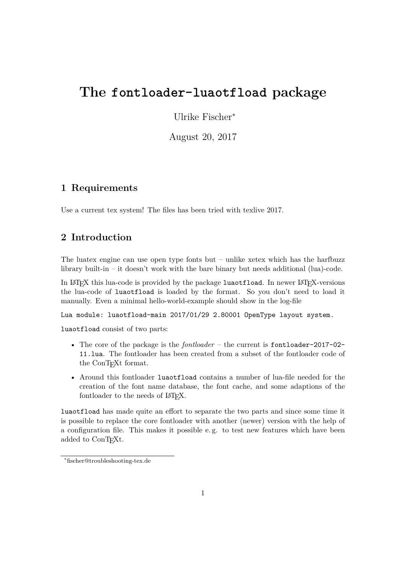# **The fontloader-luaotfload package**

Ulrike Fischer<sup>∗</sup>

August 20, 2017

# **1 Requirements**

Use a current tex system! The files has been tried with texlive 2017.

# **2 Introduction**

The luatex engine can use open type fonts but  $-$  unlike xetex which has the harfbuzz library built-in – it doesn't work with the bare binary but needs additional (lua)-code.

In LAT<sub>EX</sub> this lua-code is provided by the package luaotfload. In newer LAT<sub>EX</sub>-versions the lua-code of luaotfload is loaded by the format. So you don't need to load it manually. Even a minimal hello-world-example should show in the log-file

```
Lua module: luaotfload-main 2017/01/29 2.80001 OpenType layout system.
```
luaotfload consist of two parts:

- The core of the package is the *fontloader* the current is fontloader-2017-02- 11.lua. The fontloader has been created from a subset of the fontloader code of the ConT<sub>E</sub>X<sub>t</sub> format.
- Around this fontloader luaotfload contains a number of lua-file needed for the creation of the font name database, the font cache, and some adaptions of the fontloader to the needs of LAT<sub>EX</sub>.

luaotfload has made quite an effort to separate the two parts and since some time it is possible to replace the core fontloader with another (newer) version with the help of a configuration file. This makes it possible e. g. to test new features which have been added to ConT<sub>EXt</sub>.

<sup>∗</sup>fischer@troubleshooting-tex.de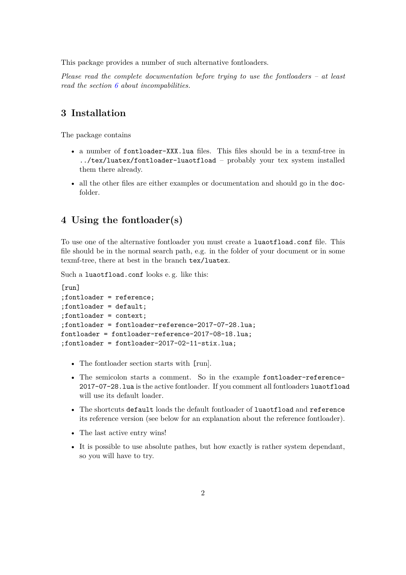This package provides a number of such alternative fontloaders.

*Please read the complete documentation before trying to use the fontloaders – at least read the section [6](#page-2-0) about incompabilities.*

# **3 Installation**

The package contains

- a number of fontloader-XXX.lua files. This files should be in a texmf-tree in ../tex/luatex/fontloader-luaotfload – probably your tex system installed them there already.
- all the other files are either examples or documentation and should go in the docfolder.

# **4 Using the fontloader(s)**

To use one of the alternative fontloader you must create a luaotfload.conf file. This file should be in the normal search path, e.g. in the folder of your document or in some texmf-tree, there at best in the branch tex/luatex.

Such a luaotfload.conf looks e. g. like this:

```
[run]
;fontloader = reference;
;fontloader = default;
;fontloader = context;
;fontloader = fontloader-reference-2017-07-28.lua;
fontloader = fontloader-reference-2017-08-18.lua;
;fontloader = fontloader-2017-02-11-stix.lua;
```
- The fontloader section starts with [run].
- The semicolon starts a comment. So in the example fontloader-reference-2017-07-28.lua is the active fontloader. If you comment all fontloaders luaotfload will use its default loader.
- The shortcuts default loads the default fontloader of luaotfload and reference its reference version (see below for an explanation about the reference fontloader).
- The last active entry wins!
- It is possible to use absolute pathes, but how exactly is rather system dependant, so you will have to try.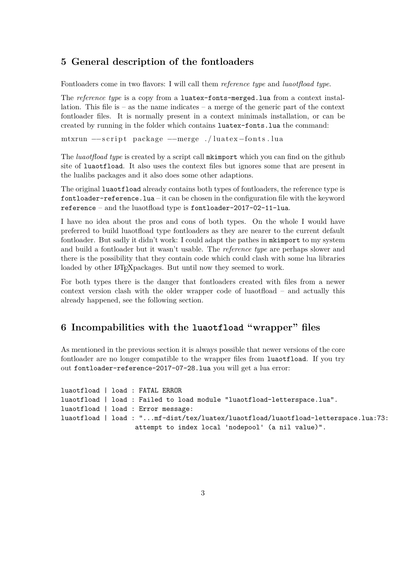### **5 General description of the fontloaders**

Fontloaders come in two flavors: I will call them *reference type* and *luaotfload type*.

The *reference type* is a copy from a luatex-fonts-merged.lua from a context installation. This file is  $-$  as the name indicates  $-$  a merge of the generic part of the context fontloader files. It is normally present in a context minimals installation, or can be created by running in the folder which contains luatex-fonts.lua the command:

mtxrun −−script package −−merge ./luatex-fonts.lua

The *luaotfload type* is created by a script call mkimport which you can find on the github site of luaotfload. It also uses the context files but ignores some that are present in the lualibs packages and it also does some other adaptions.

The original luaotfload already contains both types of fontloaders, the reference type is fontloader-reference.lua – it can be chosen in the configuration file with the keyword reference – and the luaotfload type is fontloader-2017-02-11-lua.

I have no idea about the pros and cons of both types. On the whole I would have preferred to build luaotfload type fontloaders as they are nearer to the current default fontloader. But sadly it didn't work: I could adapt the pathes in mkimport to my system and build a fontloader but it wasn't usable. The *reference type* are perhaps slower and there is the possibility that they contain code which could clash with some lua libraries loaded by other LAT<sub>E</sub>Xpackages. But until now they seemed to work.

For both types there is the danger that fontloaders created with files from a newer context version clash with the older wrapper code of luaotfload – and actually this already happened, see the following section.

# <span id="page-2-0"></span>**6 Incompabilities with the luaotfload "wrapper" files**

As mentioned in the previous section it is always possible that newer versions of the core fontloader are no longer compatible to the wrapper files from luaotfload. If you try out fontloader-reference-2017-07-28.lua you will get a lua error:

```
luaotfload | load : FATAL ERROR
luaotfload | load : Failed to load module "luaotfload-letterspace.lua".
luaotfload | load : Error message:
luaotfload | load : "...mf-dist/tex/luatex/luaotfload/luaotfload-letterspace.lua:73:
                   attempt to index local 'nodepool' (a nil value)".
```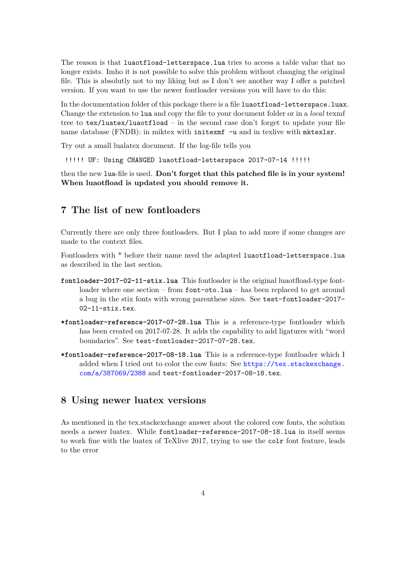The reason is that luaotfload-letterspace.lua tries to access a table value that no longer exists. Imho it is not possible to solve this problem without changing the original file. This is absolutly not to my liking but as I don't see another way I offer a patched version. If you want to use the newer fontloader versions you will have to do this:

In the documentation folder of this package there is a file luaotfload-letterspace.luax. Change the extension to lua and copy the file to your document folder or in a *local* texmf tree to tex/luatex/luaotfload – in the second case don't forget to update your file name database (FNDB): in miktex with initexmf -u and in texlive with mktexlsr.

Try out a small lualatex document. If the log-file tells you

!!!!! UF: Using CHANGED luaotfload-letterspace 2017-07-14 !!!!!

then the new lua-file is used. **Don't forget that this patched file is in your system! When luaotfload is updated you should remove it.**

# **7 The list of new fontloaders**

Currently there are only three fontloaders. But I plan to add more if some changes are made to the context files.

Fontloaders with \* before their name need the adapted luaotfload-letterspace.lua as described in the last section.

- **fontloader-2017-02-11-stix.lua** This fontloader is the original luaotfload-type fontloader where one section – from font-oto.lua – has been replaced to get around a bug in the stix fonts with wrong parenthese sizes. See test-fontloader-2017- 02-11-stix.tex.
- **\*fontloader-reference-2017-07-28.lua** This is a reference-type fontloader which has been created on 2017-07-28. It adds the capability to add ligatures with "word boundaries". See test-fontloader-2017-07-28.tex.
- **\*fontloader-reference-2017-08-18.lua** This is a reference-type fontloader which I added when I tried out to color the cow fonts: See [https://tex.stackexchange.](https://tex.stackexchange.com/a/387069/2388) [com/a/387069/2388](https://tex.stackexchange.com/a/387069/2388) and test-fontloader-2017-08-18.tex.

#### **8 Using newer luatex versions**

As mentioned in the tex.stackexchange answer about the colored cow fonts, the solution needs a newer luatex. While fontloader-reference-2017-08-18.lua in itself seems to work fine with the luatex of TeXlive 2017, trying to use the colr font feature, leads to the error